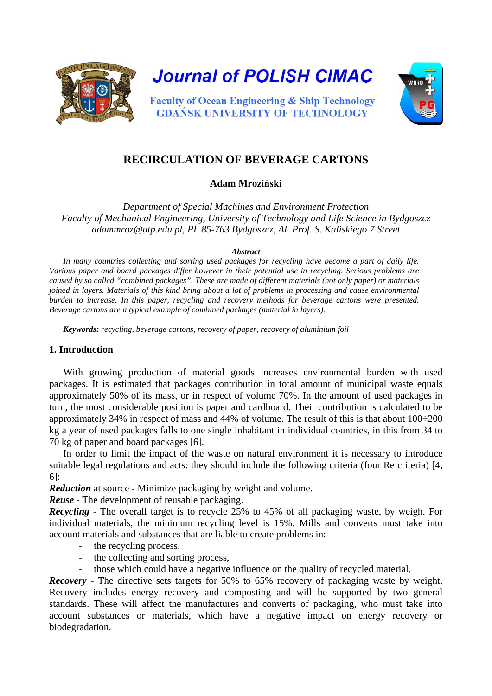

**Journal of POLISH CIMAC** 



**Faculty of Ocean Engineering & Ship Technology GDANSK UNIVERSITY OF TECHNOLOGY** 

# **RECIRCULATION OF BEVERAGE CARTONS**

## **Adam Mroziński**

*Department of Special Machines and Environment Protection Faculty of Mechanical Engineering, University of Technology and Life Science in Bydgoszcz adammroz@utp.edu.pl, PL 85-763 Bydgoszcz, Al. Prof. S. Kaliskiego 7 Street*

#### *Abstract*

*In many countries collecting and sorting used packages for recycling have become a part of daily life. Various paper and board packages differ however in their potential use in recycling. Serious problems are caused by so called "combined packages". These are made of different materials (not only paper) or materials joined in layers. Materials of this kind bring about a lot of problems in processing and cause environmental burden to increase. In this paper, recycling and recovery methods for beverage cartons were presented. Beverage cartons are a typical example of combined packages (material in layers).* 

*Keywords: recycling, beverage cartons, recovery of paper, recovery of aluminium foil*

### **1. Introduction**

With growing production of material goods increases environmental burden with used packages. It is estimated that packages contribution in total amount of municipal waste equals approximately 50% of its mass, or in respect of volume 70%. In the amount of used packages in turn, the most considerable position is paper and cardboard. Their contribution is calculated to be approximately 34% in respect of mass and 44% of volume. The result of this is that about 100÷200 kg a year of used packages falls to one single inhabitant in individual countries, in this from 34 to 70 kg of paper and board packages [6].

In order to limit the impact of the waste on natural environment it is necessary to introduce suitable legal regulations and acts: they should include the following criteria (four Re criteria) [4, 6]:

*Reduction* at source - Minimize packaging by weight and volume.

*Reuse* - The development of reusable packaging.

*Recycling* - The overall target is to recycle 25% to 45% of all packaging waste, by weigh. For individual materials, the minimum recycling level is 15%. Mills and converts must take into account materials and substances that are liable to create problems in:

- the recycling process,
- the collecting and sorting process,
- those which could have a negative influence on the quality of recycled material.

*Recovery* - The directive sets targets for 50% to 65% recovery of packaging waste by weight. Recovery includes energy recovery and composting and will be supported by two general standards. These will affect the manufactures and converts of packaging, who must take into account substances or materials, which have a negative impact on energy recovery or biodegradation.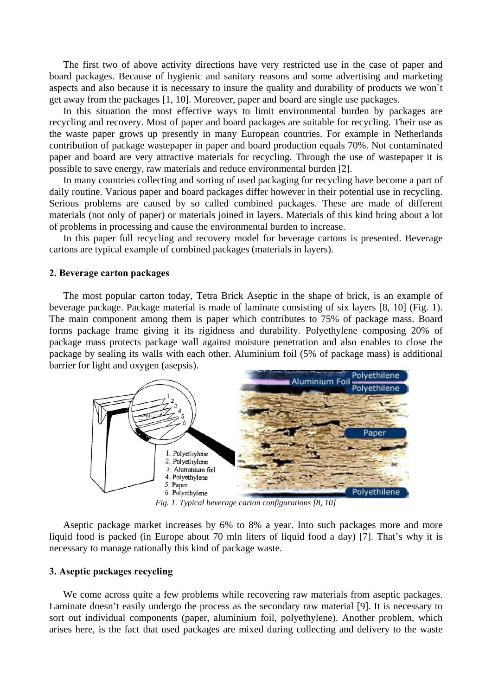The first two of above activity directions have very restricted use in the case of paper and board packages. Because of hygienic and sanitary reasons and some advertising and marketing aspects and also because it is necessary to insure the quality and durability of products we won`t get away from the packages [1, 10]. Moreover, paper and board are single use packages.

In this situation the most effective ways to limit environmental burden by packages are recycling and recovery. Most of paper and board packages are suitable for recycling. Their use as the waste paper grows up presently in many European countries. For example in Netherlands contribution of package wastepaper in paper and board production equals 70%. Not contaminated paper and board are very attractive materials for recycling. Through the use of wastepaper it is possible to save energy, raw materials and reduce environmental burden [2].

In many countries collecting and sorting of used packaging for recycling have become a part of daily routine. Various paper and board packages differ however in their potential use in recycling. Serious problems are caused by so called combined packages. These are made of different materials (not only of paper) or materials joined in layers. Materials of this kind bring about a lot of problems in processing and cause the environmental burden to increase.

In this paper full recycling and recovery model for beverage cartons is presented. Beverage cartons are typical example of combined packages (materials in layers).

#### **2. Beverage carton packages**

The most popular carton today, Tetra Brick Aseptic in the shape of brick, is an example of beverage package. Package material is made of laminate consisting of six layers [8, 10] (Fig. 1). The main component among them is paper which contributes to 75% of package mass. Board forms package frame giving it its rigidness and durability. Polyethylene composing 20% of package mass protects package wall against moisture penetration and also enables to close the package by sealing its walls with each other. Aluminium foil (5% of package mass) is additional barrier for light and oxygen (asepsis).



*Fig. 1. Typical beverage carton configurations [8, 10]* 

Aseptic package market increases by 6% to 8% a year. Into such packages more and more liquid food is packed (in Europe about 70 mln liters of liquid food a day) [7]. That's why it is necessary to manage rationally this kind of package waste.

#### **3. Aseptic packages recycling**

We come across quite a few problems while recovering raw materials from aseptic packages. Laminate doesn't easily undergo the process as the secondary raw material [9]. It is necessary to sort out individual components (paper, aluminium foil, polyethylene). Another problem, which arises here, is the fact that used packages are mixed during collecting and delivery to the waste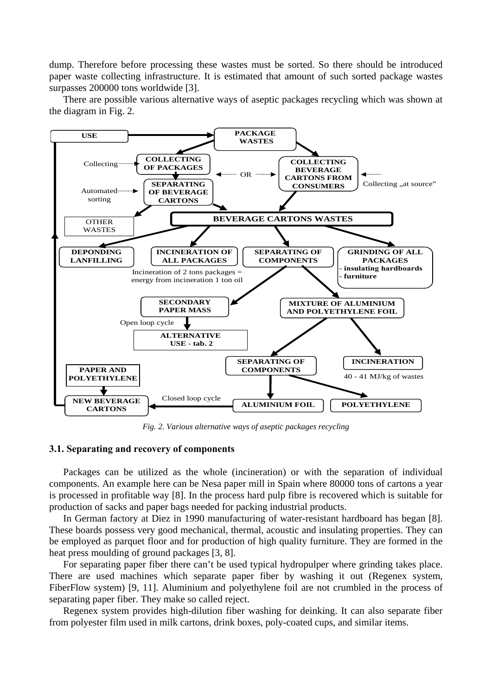dump. Therefore before processing these wastes must be sorted. So there should be introduced paper waste collecting infrastructure. It is estimated that amount of such sorted package wastes surpasses 200000 tons worldwide [3].

There are possible various alternative ways of aseptic packages recycling which was shown at the diagram in Fig. 2.



*Fig. 2. Various alternative ways of aseptic packages recycling*

#### **3.1. Separating and recovery of components**

Packages can be utilized as the whole (incineration) or with the separation of individual components. An example here can be Nesa paper mill in Spain where 80000 tons of cartons a year is processed in profitable way [8]. In the process hard pulp fibre is recovered which is suitable for production of sacks and paper bags needed for packing industrial products.

In German factory at Diez in 1990 manufacturing of water-resistant hardboard has began [8]. These boards possess very good mechanical, thermal, acoustic and insulating properties. They can be employed as parquet floor and for production of high quality furniture. They are formed in the heat press moulding of ground packages [3, 8].

For separating paper fiber there can't be used typical hydropulper where grinding takes place. There are used machines which separate paper fiber by washing it out (Regenex system, FiberFlow system) [9, 11]. Aluminium and polyethylene foil are not crumbled in the process of separating paper fiber. They make so called reject.

Regenex system provides high-dilution fiber washing for deinking. It can also separate fiber from polyester film used in milk cartons, drink boxes, poly-coated cups, and similar items.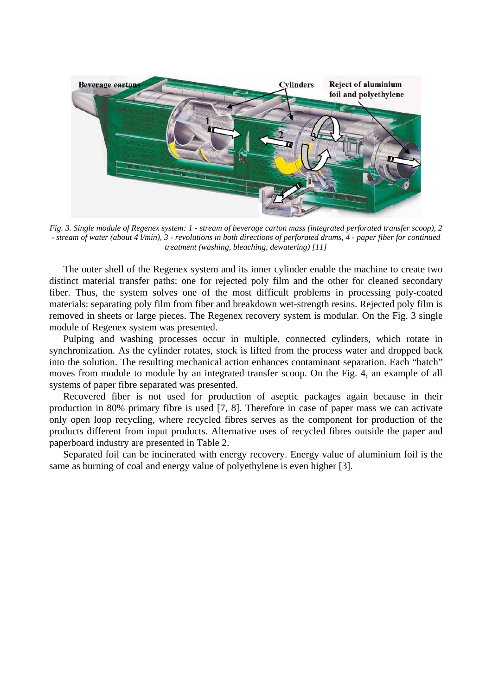

*Fig. 3. Single module of Regenex system: 1 - stream of beverage carton mass (integrated perforated transfer scoop), 2 - stream of water (about 4 l/min), 3 - revolutions in both directions of perforated drums, 4 - paper fiber for continued treatment (washing, bleaching, dewatering) [11]*

The outer shell of the Regenex system and its inner cylinder enable the machine to create two distinct material transfer paths: one for rejected poly film and the other for cleaned secondary fiber. Thus, the system solves one of the most difficult problems in processing poly-coated materials: separating poly film from fiber and breakdown wet-strength resins. Rejected poly film is removed in sheets or large pieces. The Regenex recovery system is modular. On the Fig. 3 single module of Regenex system was presented.

Pulping and washing processes occur in multiple, connected cylinders, which rotate in synchronization. As the cylinder rotates, stock is lifted from the process water and dropped back into the solution. The resulting mechanical action enhances contaminant separation. Each "batch" moves from module to module by an integrated transfer scoop. On the Fig. 4, an example of all systems of paper fibre separated was presented.

Recovered fiber is not used for production of aseptic packages again because in their production in 80% primary fibre is used [7, 8]. Therefore in case of paper mass we can activate only open loop recycling, where recycled fibres serves as the component for production of the products different from input products. Alternative uses of recycled fibres outside the paper and paperboard industry are presented in Table 2.

Separated foil can be incinerated with energy recovery. Energy value of aluminium foil is the same as burning of coal and energy value of polyethylene is even higher [3].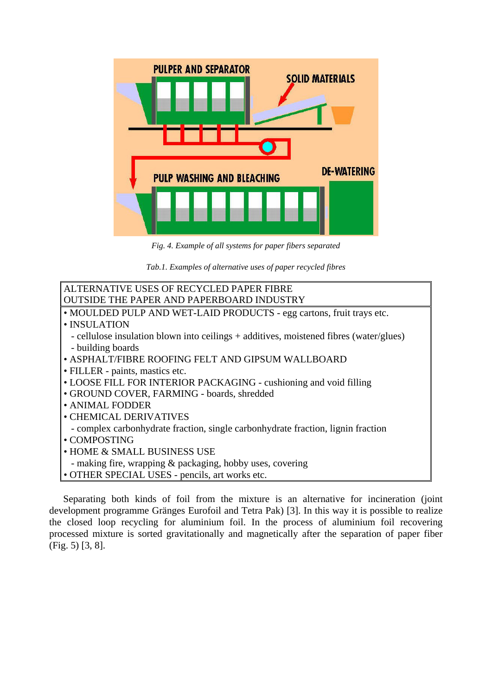

*Fig. 4. Example of all systems for paper fibers separated*

*Tab.1. Examples of alternative uses of paper recycled fibres*

| ALTERNATIVE USES OF RECYCLED PAPER FIBRE                                               |  |  |  |  |  |  |
|----------------------------------------------------------------------------------------|--|--|--|--|--|--|
| OUTSIDE THE PAPER AND PAPERBOARD INDUSTRY                                              |  |  |  |  |  |  |
| • MOULDED PULP AND WET-LAID PRODUCTS - egg cartons, fruit trays etc.                   |  |  |  |  |  |  |
| • INSULATION                                                                           |  |  |  |  |  |  |
| - cellulose insulation blown into ceilings + additives, moistened fibres (water/glues) |  |  |  |  |  |  |
| - building boards                                                                      |  |  |  |  |  |  |
| • ASPHALT/FIBRE ROOFING FELT AND GIPSUM WALLBOARD                                      |  |  |  |  |  |  |
| • FILLER - paints, mastics etc.                                                        |  |  |  |  |  |  |
| • LOOSE FILL FOR INTERIOR PACKAGING - cushioning and void filling                      |  |  |  |  |  |  |
| • GROUND COVER, FARMING - boards, shredded                                             |  |  |  |  |  |  |
| • ANIMAL FODDER                                                                        |  |  |  |  |  |  |
| • CHEMICAL DERIVATIVES                                                                 |  |  |  |  |  |  |
| - complex carbonhydrate fraction, single carbonhydrate fraction, lignin fraction       |  |  |  |  |  |  |
| • COMPOSTING                                                                           |  |  |  |  |  |  |
| • HOME & SMALL BUSINESS USE                                                            |  |  |  |  |  |  |
| - making fire, wrapping & packaging, hobby uses, covering                              |  |  |  |  |  |  |
| • OTHER SPECIAL USES - pencils, art works etc.                                         |  |  |  |  |  |  |

Separating both kinds of foil from the mixture is an alternative for incineration (joint development programme Gränges Eurofoil and Tetra Pak) [3]. In this way it is possible to realize the closed loop recycling for aluminium foil. In the process of aluminium foil recovering processed mixture is sorted gravitationally and magnetically after the separation of paper fiber (Fig. 5) [3, 8].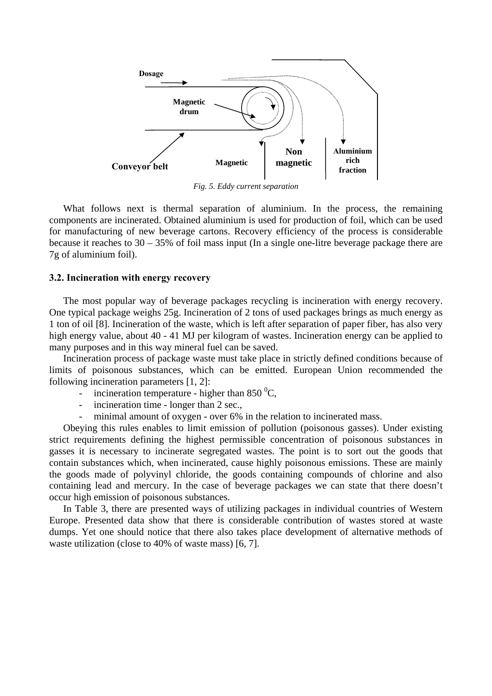

*Fig. 5. Eddy current separation*

What follows next is thermal separation of aluminium. In the process, the remaining components are incinerated. Obtained aluminium is used for production of foil, which can be used for manufacturing of new beverage cartons. Recovery efficiency of the process is considerable because it reaches to 30 – 35% of foil mass input (In a single one-litre beverage package there are 7g of aluminium foil).

#### **3.2. Incineration with energy recovery**

The most popular way of beverage packages recycling is incineration with energy recovery. One typical package weighs 25g. Incineration of 2 tons of used packages brings as much energy as 1 ton of oil [8]. Incineration of the waste, which is left after separation of paper fiber, has also very high energy value, about 40 - 41 MJ per kilogram of wastes. Incineration energy can be applied to many purposes and in this way mineral fuel can be saved.

Incineration process of package waste must take place in strictly defined conditions because of limits of poisonous substances, which can be emitted. European Union recommended the following incineration parameters [1, 2]:

- incineration temperature higher than 850 $\mathrm{^{0}C}$ ,
- incineration time longer than 2 sec.,
- minimal amount of oxygen over 6% in the relation to incinerated mass.

Obeying this rules enables to limit emission of pollution (poisonous gasses). Under existing strict requirements defining the highest permissible concentration of poisonous substances in gasses it is necessary to incinerate segregated wastes. The point is to sort out the goods that contain substances which, when incinerated, cause highly poisonous emissions. These are mainly the goods made of polyvinyl chloride, the goods containing compounds of chlorine and also containing lead and mercury. In the case of beverage packages we can state that there doesn't occur high emission of poisonous substances.

In Table 3, there are presented ways of utilizing packages in individual countries of Western Europe. Presented data show that there is considerable contribution of wastes stored at waste dumps. Yet one should notice that there also takes place development of alternative methods of waste utilization (close to 40% of waste mass) [6, 7].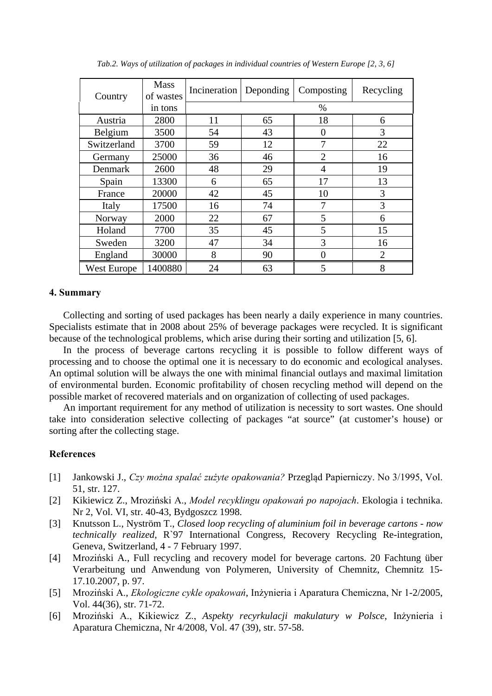| Country     | <b>Mass</b><br>of wastes | Incineration | Deponding | Composting     | Recycling      |
|-------------|--------------------------|--------------|-----------|----------------|----------------|
|             | in tons                  |              |           | $\%$           |                |
| Austria     | 2800                     | 11           | 65        | 18             | 6              |
| Belgium     | 3500                     | 54           | 43        | 0              | 3              |
| Switzerland | 3700                     | 59           | 12        | 7              | 22             |
| Germany     | 25000                    | 36           | 46        | $\overline{2}$ | 16             |
| Denmark     | 2600                     | 48           | 29        | 4              | 19             |
| Spain       | 13300                    | 6            | 65        | 17             | 13             |
| France      | 20000                    | 42           | 45        | 10             | 3              |
| Italy       | 17500                    | 16           | 74        | 7              | 3              |
| Norway      | 2000                     | 22           | 67        | 5              | 6              |
| Holand      | 7700                     | 35           | 45        | 5              | 15             |
| Sweden      | 3200                     | 47           | 34        | 3              | 16             |
| England     | 30000                    | 8            | 90        | $\overline{0}$ | $\overline{2}$ |
| West Europe | 1400880                  | 24           | 63        | 5              | 8              |

*Tab.2. Ways of utilization of packages in individual countries of Western Europe [2, 3, 6]* 

#### **4. Summary**

Collecting and sorting of used packages has been nearly a daily experience in many countries. Specialists estimate that in 2008 about 25% of beverage packages were recycled. It is significant because of the technological problems, which arise during their sorting and utilization [5, 6].

In the process of beverage cartons recycling it is possible to follow different ways of processing and to choose the optimal one it is necessary to do economic and ecological analyses. An optimal solution will be always the one with minimal financial outlays and maximal limitation of environmental burden. Economic profitability of chosen recycling method will depend on the possible market of recovered materials and on organization of collecting of used packages.

An important requirement for any method of utilization is necessity to sort wastes. One should take into consideration selective collecting of packages "at source" (at customer's house) or sorting after the collecting stage.

#### **References**

- [1] Jankowski J., *Czy można spalać zużyte opakowania?* Przegląd Papierniczy. No 3/1995, Vol. 51, str. 127.
- [2] Kikiewicz Z., Mroziński A., *Model recyklingu opakowań po napojach*. Ekologia i technika. Nr 2, Vol. VI, str. 40-43, Bydgoszcz 1998.
- [3] Knutsson L., Nyström T., *Closed loop recycling of aluminium foil in beverage cartons now technically realized*, R`97 International Congress, Recovery Recycling Re-integration, Geneva, Switzerland, 4 - 7 February 1997.
- [4] Mroziński A., Full recycling and recovery model for beverage cartons. 20 Fachtung über Verarbeitung und Anwendung von Polymeren, University of Chemnitz, Chemnitz 15- 17.10.2007, p. 97.
- [5] Mroziński A., *Ekologiczne cykle opakowań*, Inżynieria i Aparatura Chemiczna, Nr 1-2/2005, Vol. 44(36), str. 71-72.
- [6] Mroziński A., Kikiewicz Z., *Aspekty recyrkulacji makulatury w Polsce*, Inżynieria i Aparatura Chemiczna, Nr 4/2008, Vol. 47 (39), str. 57-58.